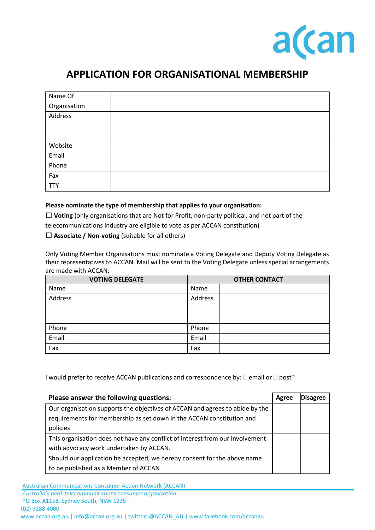

## **APPLICATION FOR ORGANISATIONAL MEMBERSHIP**

| Name Of      |  |
|--------------|--|
| Organisation |  |
| Address      |  |
|              |  |
|              |  |
| Website      |  |
| Email        |  |
| Phone        |  |
| Fax          |  |
| <b>TTY</b>   |  |

## **Please nominate the type of membership that applies to your organisation:**

☐ **Voting** (only organisations that are Not for Profit, non-party political, and not part of the telecommunications industry are eligible to vote as per ACCAN constitution)

☐ **Associate / Non-voting** (suitable for all others)

Only Voting Member Organisations must nominate a Voting Delegate and Deputy Voting Delegate as their representatives to ACCAN. Mail will be sent to the Voting Delegate unless special arrangements are made with ACCAN:

| <b>VOTING DELEGATE</b> |  | <b>OTHER CONTACT</b> |  |
|------------------------|--|----------------------|--|
| Name                   |  | Name                 |  |
| Address                |  | Address              |  |
|                        |  |                      |  |
| Phone                  |  | Phone                |  |
| Email                  |  | Email                |  |
| Fax                    |  | Fax                  |  |

I would prefer to receive ACCAN publications and correspondence by:  $\square$  email or  $\square$  post?

| Please answer the following questions:                                                                                                                            |  | <b>Disagree</b> |
|-------------------------------------------------------------------------------------------------------------------------------------------------------------------|--|-----------------|
| Our organisation supports the objectives of ACCAN and agrees to abide by the<br>requirements for membership as set down in the ACCAN constitution and<br>policies |  |                 |
| This organisation does not have any conflict of interest from our involvement                                                                                     |  |                 |
| with advocacy work undertaken by ACCAN.                                                                                                                           |  |                 |
| Should our application be accepted, we hereby consent for the above name                                                                                          |  |                 |
| to be published as a Member of ACCAN                                                                                                                              |  |                 |

Australian Communications Consumer Action Network (ACCAN)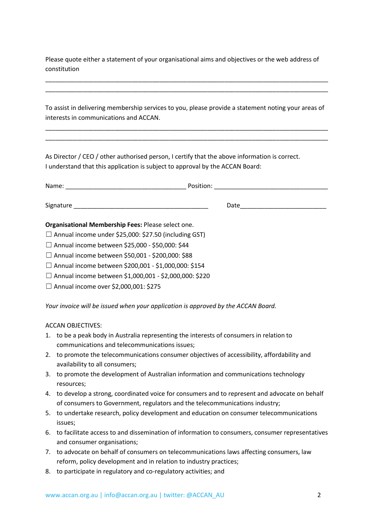Please quote either a statement of your organisational aims and objectives or the web address of constitution

\_\_\_\_\_\_\_\_\_\_\_\_\_\_\_\_\_\_\_\_\_\_\_\_\_\_\_\_\_\_\_\_\_\_\_\_\_\_\_\_\_\_\_\_\_\_\_\_\_\_\_\_\_\_\_\_\_\_\_\_\_\_\_\_\_\_\_\_\_\_\_\_\_\_\_\_\_\_\_\_\_\_ \_\_\_\_\_\_\_\_\_\_\_\_\_\_\_\_\_\_\_\_\_\_\_\_\_\_\_\_\_\_\_\_\_\_\_\_\_\_\_\_\_\_\_\_\_\_\_\_\_\_\_\_\_\_\_\_\_\_\_\_\_\_\_\_\_\_\_\_\_\_\_\_\_\_\_\_\_\_\_\_\_\_

To assist in delivering membership services to you, please provide a statement noting your areas of interests in communications and ACCAN.

\_\_\_\_\_\_\_\_\_\_\_\_\_\_\_\_\_\_\_\_\_\_\_\_\_\_\_\_\_\_\_\_\_\_\_\_\_\_\_\_\_\_\_\_\_\_\_\_\_\_\_\_\_\_\_\_\_\_\_\_\_\_\_\_\_\_\_\_\_\_\_\_\_\_\_\_\_\_\_\_\_\_ \_\_\_\_\_\_\_\_\_\_\_\_\_\_\_\_\_\_\_\_\_\_\_\_\_\_\_\_\_\_\_\_\_\_\_\_\_\_\_\_\_\_\_\_\_\_\_\_\_\_\_\_\_\_\_\_\_\_\_\_\_\_\_\_\_\_\_\_\_\_\_\_\_\_\_\_\_\_\_\_\_\_

As Director / CEO / other authorised person, I certify that the above information is correct. I understand that this application is subject to approval by the ACCAN Board:

|                                                              | Date |  |
|--------------------------------------------------------------|------|--|
| Organisational Membership Fees: Please select one.           |      |  |
| $\Box$ Annual income under \$25,000: \$27.50 (including GST) |      |  |
| □ Annual income between \$25,000 - \$50,000: \$44            |      |  |
| □ Annual income between \$50,001 - \$200,000: \$88           |      |  |
| $\Box$ Annual income between \$200,001 - \$1,000,000: \$154  |      |  |

- ☐ Annual income between \$1,000,001 \$2,000,000: \$220
- □ Annual income over \$2,000,001: \$275

*Your invoice will be issued when your application is approved by the ACCAN Board.*

## ACCAN OBJECTIVES:

- 1. to be a peak body in Australia representing the interests of consumers in relation to communications and telecommunications issues;
- 2. to promote the telecommunications consumer objectives of accessibility, affordability and availability to all consumers;
- 3. to promote the development of Australian information and communications technology resources;
- 4. to develop a strong, coordinated voice for consumers and to represent and advocate on behalf of consumers to Government, regulators and the telecommunications industry;
- 5. to undertake research, policy development and education on consumer telecommunications issues;
- 6. to facilitate access to and dissemination of information to consumers, consumer representatives and consumer organisations;
- 7. to advocate on behalf of consumers on telecommunications laws affecting consumers, law reform, policy development and in relation to industry practices;
- 8. to participate in regulatory and co-regulatory activities; and